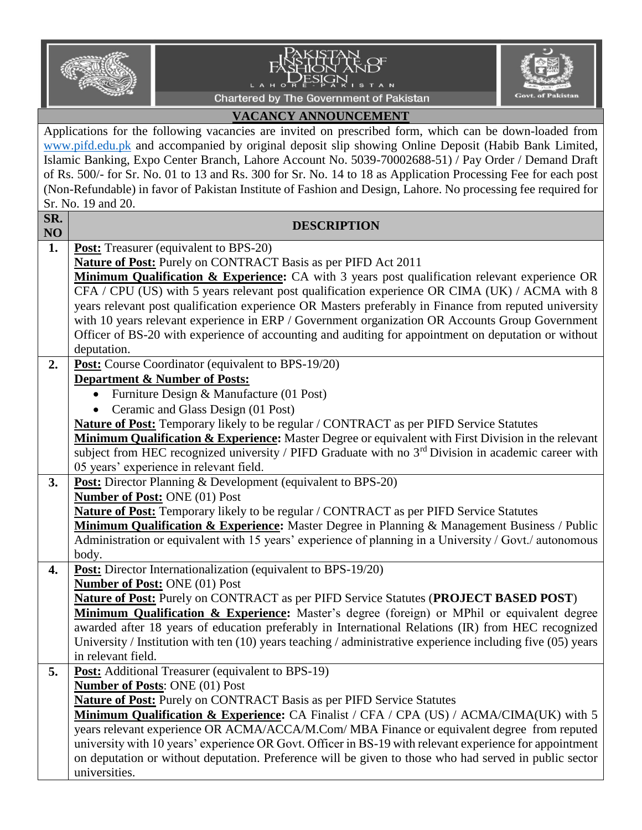



**Govt. of Pakista** 

## **VACANCY ANNOUNCEMENT**

Ĺ.

Applications for the following vacancies are invited on prescribed form, which can be down-loaded from [www.pifd.edu.pk](http://www.pifd.edu.pk/) and accompanied by original deposit slip showing Online Deposit (Habib Bank Limited, Islamic Banking, Expo Center Branch, Lahore Account No. 5039-70002688-51) / Pay Order / Demand Draft of Rs. 500/- for Sr. No. 01 to 13 and Rs. 300 for Sr. No. 14 to 18 as Application Processing Fee for each post (Non-Refundable) in favor of Pakistan Institute of Fashion and Design, Lahore. No processing fee required for Sr. No. 19 and 20.

| SR.<br>NO | <b>DESCRIPTION</b>                                                                                                                                                                                |
|-----------|---------------------------------------------------------------------------------------------------------------------------------------------------------------------------------------------------|
| 1.        | <b>Post:</b> Treasurer (equivalent to BPS-20)                                                                                                                                                     |
|           | <b>Nature of Post:</b> Purely on CONTRACT Basis as per PIFD Act 2011                                                                                                                              |
|           | Minimum Qualification & Experience: CA with 3 years post qualification relevant experience OR                                                                                                     |
|           | CFA / CPU (US) with 5 years relevant post qualification experience OR CIMA (UK) / ACMA with 8                                                                                                     |
|           | years relevant post qualification experience OR Masters preferably in Finance from reputed university                                                                                             |
|           | with 10 years relevant experience in ERP / Government organization OR Accounts Group Government                                                                                                   |
|           | Officer of BS-20 with experience of accounting and auditing for appointment on deputation or without                                                                                              |
|           | deputation.                                                                                                                                                                                       |
| 2.        | Post: Course Coordinator (equivalent to BPS-19/20)                                                                                                                                                |
|           | <b>Department &amp; Number of Posts:</b>                                                                                                                                                          |
|           | • Furniture Design & Manufacture (01 Post)                                                                                                                                                        |
|           | Ceramic and Glass Design (01 Post)<br>$\bullet$                                                                                                                                                   |
|           | Nature of Post: Temporary likely to be regular / CONTRACT as per PIFD Service Statutes                                                                                                            |
|           | Minimum Qualification & Experience: Master Degree or equivalent with First Division in the relevant                                                                                               |
|           | subject from HEC recognized university / PIFD Graduate with no 3 <sup>rd</sup> Division in academic career with                                                                                   |
|           | 05 years' experience in relevant field.                                                                                                                                                           |
| 3.        | Post: Director Planning & Development (equivalent to BPS-20)                                                                                                                                      |
|           | Number of Post: ONE (01) Post                                                                                                                                                                     |
|           | Nature of Post: Temporary likely to be regular / CONTRACT as per PIFD Service Statutes                                                                                                            |
|           | Minimum Qualification & Experience: Master Degree in Planning & Management Business / Public                                                                                                      |
|           | Administration or equivalent with 15 years' experience of planning in a University / Govt./ autonomous                                                                                            |
|           | body.                                                                                                                                                                                             |
| 4.        | Post: Director Internationalization (equivalent to BPS-19/20)                                                                                                                                     |
|           | Number of Post: ONE (01) Post                                                                                                                                                                     |
|           | <b>Nature of Post:</b> Purely on CONTRACT as per PIFD Service Statutes (PROJECT BASED POST)                                                                                                       |
|           | Minimum Qualification & Experience: Master's degree (foreign) or MPhil or equivalent degree<br>awarded after 18 years of education preferably in International Relations (IR) from HEC recognized |
|           | University / Institution with ten $(10)$ years teaching / administrative experience including five $(05)$ years                                                                                   |
|           | in relevant field.                                                                                                                                                                                |
| 5.        | <b>Post:</b> Additional Treasurer (equivalent to BPS-19)                                                                                                                                          |
|           | Number of Posts: ONE (01) Post                                                                                                                                                                    |
|           | <b>Nature of Post:</b> Purely on CONTRACT Basis as per PIFD Service Statutes                                                                                                                      |
|           | Minimum Qualification & Experience: CA Finalist / CFA / CPA (US) / ACMA/CIMA(UK) with 5                                                                                                           |
|           | years relevant experience OR ACMA/ACCA/M.Com/ MBA Finance or equivalent degree from reputed                                                                                                       |
|           | university with 10 years' experience OR Govt. Officer in BS-19 with relevant experience for appointment                                                                                           |
|           | on deputation or without deputation. Preference will be given to those who had served in public sector                                                                                            |
|           | universities.                                                                                                                                                                                     |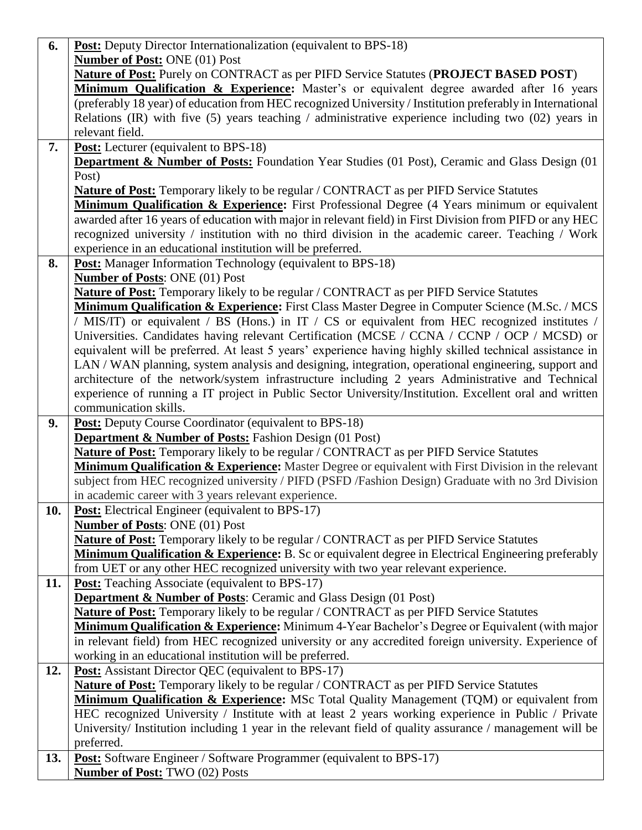| 6.  | <b>Post:</b> Deputy Director Internationalization (equivalent to BPS-18)                                   |
|-----|------------------------------------------------------------------------------------------------------------|
|     | <b>Number of Post: ONE (01) Post</b>                                                                       |
|     | <b>Nature of Post:</b> Purely on CONTRACT as per PIFD Service Statutes (PROJECT BASED POST)                |
|     | Minimum Qualification & Experience: Master's or equivalent degree awarded after 16 years                   |
|     | (preferably 18 year) of education from HEC recognized University / Institution preferably in International |
|     | Relations (IR) with five (5) years teaching / administrative experience including two (02) years in        |
|     | relevant field.                                                                                            |
| 7.  | <b>Post:</b> Lecturer (equivalent to BPS-18)                                                               |
|     | Department & Number of Posts: Foundation Year Studies (01 Post), Ceramic and Glass Design (01              |
|     | Post)                                                                                                      |
|     | Nature of Post: Temporary likely to be regular / CONTRACT as per PIFD Service Statutes                     |
|     | Minimum Qualification & Experience: First Professional Degree (4 Years minimum or equivalent               |
|     | awarded after 16 years of education with major in relevant field) in First Division from PIFD or any HEC   |
|     | recognized university / institution with no third division in the academic career. Teaching / Work         |
|     | experience in an educational institution will be preferred.                                                |
| 8.  | <b>Post:</b> Manager Information Technology (equivalent to BPS-18)                                         |
|     | <b>Number of Posts: ONE (01) Post</b>                                                                      |
|     | Nature of Post: Temporary likely to be regular / CONTRACT as per PIFD Service Statutes                     |
|     | Minimum Qualification & Experience: First Class Master Degree in Computer Science (M.Sc. / MCS             |
|     | / MIS/IT) or equivalent / BS (Hons.) in IT / CS or equivalent from HEC recognized institutes /             |
|     | Universities. Candidates having relevant Certification (MCSE / CCNA / CCNP / OCP / MCSD) or                |
|     | equivalent will be preferred. At least 5 years' experience having highly skilled technical assistance in   |
|     | LAN / WAN planning, system analysis and designing, integration, operational engineering, support and       |
|     | architecture of the network/system infrastructure including 2 years Administrative and Technical           |
|     | experience of running a IT project in Public Sector University/Institution. Excellent oral and written     |
|     | communication skills.                                                                                      |
| 9.  | <b>Post:</b> Deputy Course Coordinator (equivalent to BPS-18)                                              |
|     | <b>Department &amp; Number of Posts:</b> Fashion Design (01 Post)                                          |
|     | Nature of Post: Temporary likely to be regular / CONTRACT as per PIFD Service Statutes                     |
|     | Minimum Qualification & Experience: Master Degree or equivalent with First Division in the relevant        |
|     | subject from HEC recognized university / PIFD (PSFD /Fashion Design) Graduate with no 3rd Division         |
|     | in academic career with 3 years relevant experience.                                                       |
| 10. | Post: Electrical Engineer (equivalent to BPS-17)                                                           |
|     | <b>Number of Posts: ONE (01) Post</b>                                                                      |
|     | <b>Nature of Post:</b> Temporary likely to be regular / CONTRACT as per PIFD Service Statutes              |
|     | Minimum Qualification & Experience: B. Sc or equivalent degree in Electrical Engineering preferably        |
|     | from UET or any other HEC recognized university with two year relevant experience.                         |
| 11. | <b>Post:</b> Teaching Associate (equivalent to BPS-17)                                                     |
|     | <b>Department &amp; Number of Posts:</b> Ceramic and Glass Design (01 Post)                                |
|     | <b>Nature of Post:</b> Temporary likely to be regular / CONTRACT as per PIFD Service Statutes              |
|     | Minimum Qualification & Experience: Minimum 4-Year Bachelor's Degree or Equivalent (with major             |
|     | in relevant field) from HEC recognized university or any accredited foreign university. Experience of      |
|     | working in an educational institution will be preferred.                                                   |
| 12. | <b>Post:</b> Assistant Director QEC (equivalent to BPS-17)                                                 |
|     | <b>Nature of Post:</b> Temporary likely to be regular / CONTRACT as per PIFD Service Statutes              |
|     | Minimum Qualification & Experience: MSc Total Quality Management (TQM) or equivalent from                  |
|     | HEC recognized University / Institute with at least 2 years working experience in Public / Private         |
|     | University/ Institution including 1 year in the relevant field of quality assurance / management will be   |
|     | preferred.                                                                                                 |
| 13. | <b>Post:</b> Software Engineer / Software Programmer (equivalent to BPS-17)                                |
|     | <b>Number of Post: TWO (02) Posts</b>                                                                      |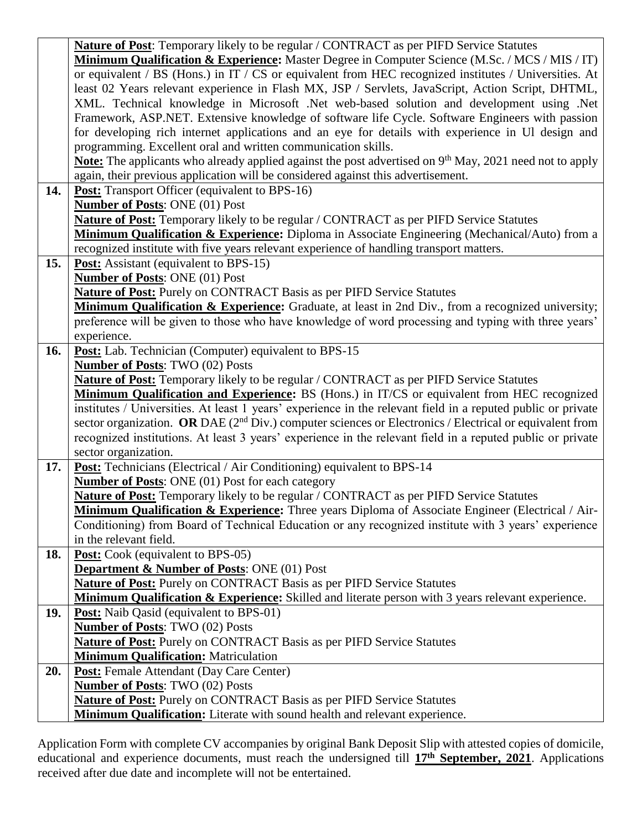|     | Nature of Post: Temporary likely to be regular / CONTRACT as per PIFD Service Statutes                                  |
|-----|-------------------------------------------------------------------------------------------------------------------------|
|     | <b>Minimum Qualification &amp; Experience:</b> Master Degree in Computer Science (M.Sc. / MCS / MIS / IT)               |
|     | or equivalent / BS (Hons.) in IT / CS or equivalent from HEC recognized institutes / Universities. At                   |
|     | least 02 Years relevant experience in Flash MX, JSP / Servlets, JavaScript, Action Script, DHTML,                       |
|     | XML. Technical knowledge in Microsoft .Net web-based solution and development using .Net                                |
|     | Framework, ASP.NET. Extensive knowledge of software life Cycle. Software Engineers with passion                         |
|     | for developing rich internet applications and an eye for details with experience in Ul design and                       |
|     | programming. Excellent oral and written communication skills.                                                           |
|     | <b><u>Note:</u></b> The applicants who already applied against the post advertised on $9th$ May, 2021 need not to apply |
|     | again, their previous application will be considered against this advertisement.                                        |
| 14. | <b>Post:</b> Transport Officer (equivalent to BPS-16)                                                                   |
|     | <b>Number of Posts: ONE (01) Post</b>                                                                                   |
|     | <b>Nature of Post:</b> Temporary likely to be regular / CONTRACT as per PIFD Service Statutes                           |
|     | Minimum Qualification & Experience: Diploma in Associate Engineering (Mechanical/Auto) from a                           |
|     | recognized institute with five years relevant experience of handling transport matters.                                 |
| 15. | <b>Post:</b> Assistant (equivalent to BPS-15)                                                                           |
|     | <b>Number of Posts: ONE (01) Post</b>                                                                                   |
|     | <b>Nature of Post:</b> Purely on CONTRACT Basis as per PIFD Service Statutes                                            |
|     | Minimum Qualification & Experience: Graduate, at least in 2nd Div., from a recognized university;                       |
|     | preference will be given to those who have knowledge of word processing and typing with three years'                    |
|     | experience.                                                                                                             |
| 16. | Post: Lab. Technician (Computer) equivalent to BPS-15                                                                   |
|     | <b>Number of Posts: TWO (02) Posts</b>                                                                                  |
|     | Nature of Post: Temporary likely to be regular / CONTRACT as per PIFD Service Statutes                                  |
|     | Minimum Qualification and Experience: BS (Hons.) in IT/CS or equivalent from HEC recognized                             |
|     | institutes / Universities. At least 1 years' experience in the relevant field in a reputed public or private            |
|     | sector organization. OR DAE $(2nd Div.)$ computer sciences or Electronics / Electrical or equivalent from               |
|     | recognized institutions. At least 3 years' experience in the relevant field in a reputed public or private              |
|     | sector organization.                                                                                                    |
| 17. | <b>Post:</b> Technicians (Electrical / Air Conditioning) equivalent to BPS-14                                           |
|     | <b>Number of Posts: ONE (01) Post for each category</b>                                                                 |
|     | Nature of Post: Temporary likely to be regular / CONTRACT as per PIFD Service Statutes                                  |
|     | <b>Minimum Qualification &amp; Experience:</b> Three years Diploma of Associate Engineer (Electrical / Air-             |
|     | Conditioning) from Board of Technical Education or any recognized institute with 3 years' experience                    |
|     | in the relevant field.                                                                                                  |
| 18. | <b>Post:</b> Cook (equivalent to BPS-05)                                                                                |
|     | <b>Department &amp; Number of Posts: ONE (01) Post</b>                                                                  |
|     | Nature of Post: Purely on CONTRACT Basis as per PIFD Service Statutes                                                   |
|     | Minimum Qualification & Experience: Skilled and literate person with 3 years relevant experience.                       |
| 19. | <b>Post:</b> Naib Qasid (equivalent to BPS-01)                                                                          |
|     | <b>Number of Posts: TWO (02) Posts</b>                                                                                  |
|     | <b>Nature of Post:</b> Purely on CONTRACT Basis as per PIFD Service Statutes                                            |
|     | <b>Minimum Qualification:</b> Matriculation                                                                             |
| 20. | <b>Post:</b> Female Attendant (Day Care Center)                                                                         |
|     | <b>Number of Posts: TWO (02) Posts</b>                                                                                  |
|     | <b>Nature of Post:</b> Purely on CONTRACT Basis as per PIFD Service Statutes                                            |
|     | Minimum Qualification: Literate with sound health and relevant experience.                                              |

Application Form with complete CV accompanies by original Bank Deposit Slip with attested copies of domicile, educational and experience documents, must reach the undersigned till **17th September, 2021**. Applications received after due date and incomplete will not be entertained.